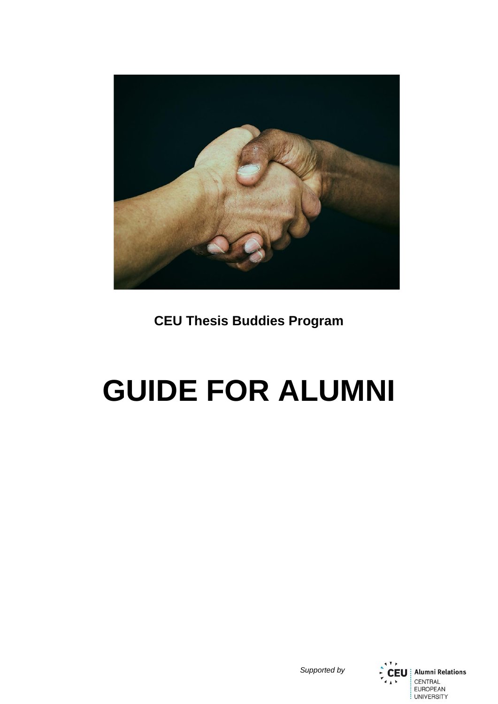

**CEU Thesis Buddies Program**

# **GUIDE FOR ALUMNI**



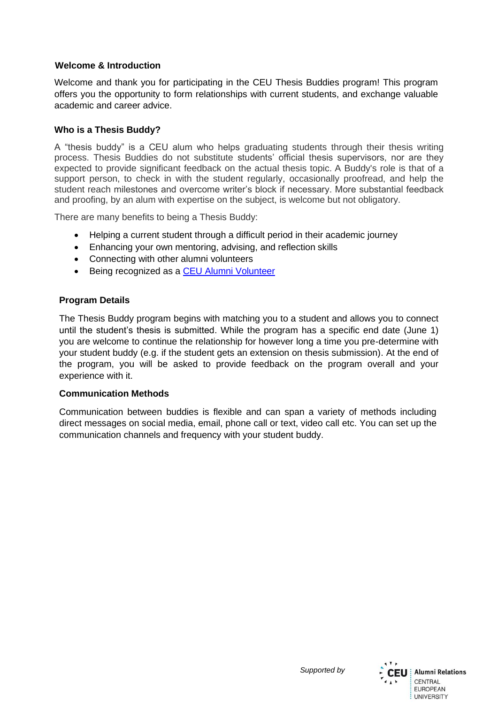## **Welcome & Introduction**

Welcome and thank you for participating in the CEU Thesis Buddies program! This program offers you the opportunity to form relationships with current students, and exchange valuable academic and career advice.

## **Who is a Thesis Buddy?**

A "thesis buddy" is a CEU alum who helps graduating students through their thesis writing process. Thesis Buddies do not substitute students' official thesis supervisors, nor are they expected to provide significant feedback on the actual thesis topic. A Buddy's role is that of a support person, to check in with the student regularly, occasionally proofread, and help the student reach milestones and overcome writer's block if necessary. More substantial feedback and proofing, by an alum with expertise on the subject, is welcome but not obligatory.

There are many benefits to being a Thesis Buddy:

- Helping a current student through a difficult period in their academic journey
- Enhancing your own mentoring, advising, and reflection skills
- Connecting with other alumni volunteers
- Being recognized as a [CEU Alumni Volunteer](https://alumni.ceu.edu/volunteer-recognition)

## **Program Details**

The Thesis Buddy program begins with matching you to a student and allows you to connect until the student's thesis is submitted. While the program has a specific end date (June 1) you are welcome to continue the relationship for however long a time you pre-determine with your student buddy (e.g. if the student gets an extension on thesis submission). At the end of the program, you will be asked to provide feedback on the program overall and your experience with it.

#### **Communication Methods**

Communication between buddies is flexible and can span a variety of methods including direct messages on social media, email, phone call or text, video call etc. You can set up the communication channels and frequency with your student buddy.



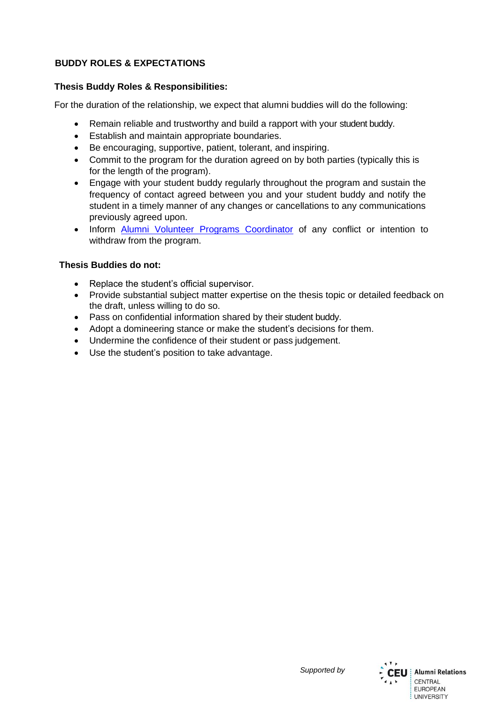## **BUDDY ROLES & EXPECTATIONS**

## **Thesis Buddy Roles & Responsibilities:**

For the duration of the relationship, we expect that alumni buddies will do the following:

- Remain reliable and trustworthy and build a rapport with your student buddy.
- Establish and maintain appropriate boundaries.
- Be encouraging, supportive, patient, tolerant, and inspiring.
- Commit to the program for the duration agreed on by both parties (typically this is for the length of the program).
- Engage with your student buddy regularly throughout the program and sustain the frequency of contact agreed between you and your student buddy and notify the student in a timely manner of any changes or cancellations to any communications previously agreed upon.
- Inform [Alumni Volunteer Programs Coordinator](mailto:khodzharovan@ceu.edu) of any conflict or intention to withdraw from the program.

## **Thesis Buddies do not:**

- Replace the student's official supervisor.
- Provide substantial subject matter expertise on the thesis topic or detailed feedback on the draft, unless willing to do so.
- Pass on confidential information shared by their student buddy.
- Adopt a domineering stance or make the student's decisions for them.
- Undermine the confidence of their student or pass judgement.
- Use the student's position to take advantage.



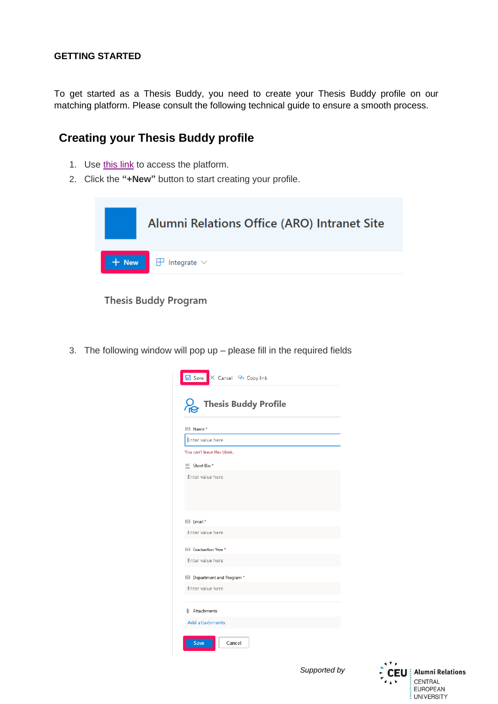To get started as a Thesis Buddy, you need to create your Thesis Buddy profile on our matching platform. Please consult the following technical guide to ensure a smooth process.

## **Creating your Thesis Buddy profile**

- 1. Use [this link](https://ceuedu.sharepoint.com/:l:/s/AlumniRelationsOffice/FKtrSxjZbDNGuTSXf9nfP7ABahHWrlLrxvuNnH4uZOOylQ?e=YjnZFE) to access the platform.
- 2. Click the **"+New"** button to start creating your profile.



**Thesis Buddy Program** 

3. The following window will pop up – please fill in the required fields

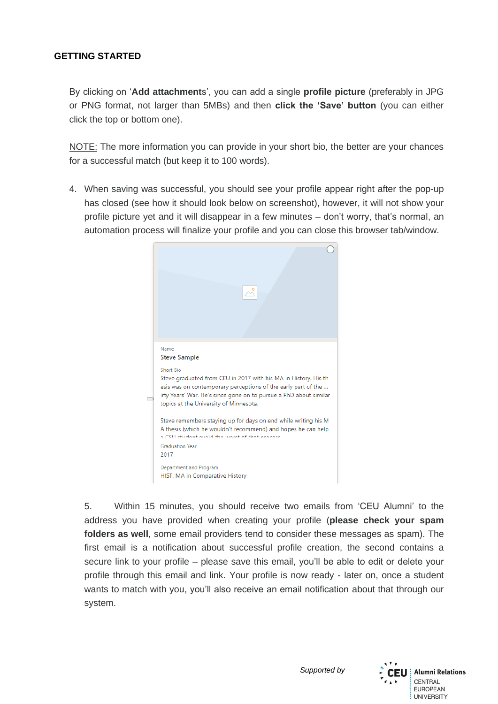By clicking on '**Add attachment**s', you can add a single **profile picture** (preferably in JPG or PNG format, not larger than 5MBs) and then **click the 'Save' button** (you can either click the top or bottom one).

NOTE: The more information you can provide in your short bio, the better are your chances for a successful match (but keep it to 100 words).

4. When saving was successful, you should see your profile appear right after the pop-up has closed (see how it should look below on screenshot), however, it will not show your profile picture yet and it will disappear in a few minutes – don't worry, that's normal, an automation process will finalize your profile and you can close this browser tab/window.



5. Within 15 minutes, you should receive two emails from 'CEU Alumni' to the address you have provided when creating your profile (**please check your spam folders as well**, some email providers tend to consider these messages as spam). The first email is a notification about successful profile creation, the second contains a secure link to your profile – please save this email, you'll be able to edit or delete your profile through this email and link. Your profile is now ready - later on, once a student wants to match with you, you'll also receive an email notification about that through our system.

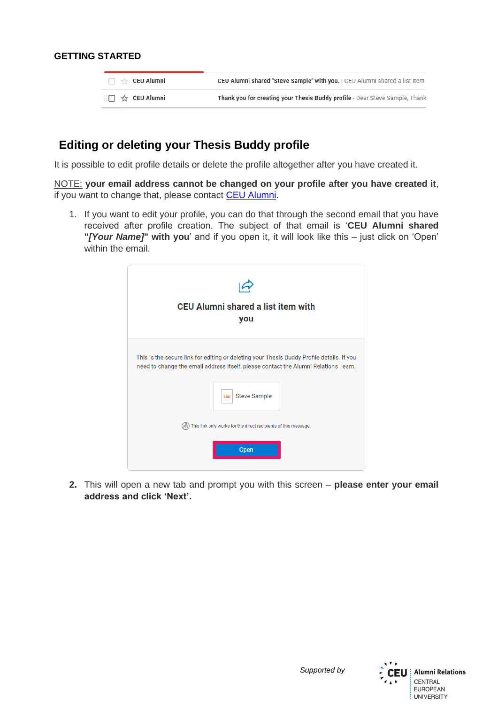|  | $\Box$ $\forall$ CEU Alumni                  | <b>CEU Alumni shared "Steve Sample" with you.</b> - CEU Alumni shared a list item |
|--|----------------------------------------------|-----------------------------------------------------------------------------------|
|  | $\Box \Box \quad \Leftrightarrow$ CEU Alumni | Thank you for creating your Thesis Buddy profile - Dear Steve Sample, Thank       |

# **Editing or deleting your Thesis Buddy profile**

It is possible to edit profile details or delete the profile altogether after you have created it.

NOTE: **your email address cannot be changed on your profile after you have created it**, if you want to change that, please contact [CEU Alumni.](mailto:alumni@ceu.edu)

1. If you want to edit your profile, you can do that through the second email that you have received after profile creation. The subject of that email is '**CEU Alumni shared "***[Your Name]***" with you**' and if you open it, it will look like this – just click on 'Open' within the email.



**2.** This will open a new tab and prompt you with this screen – **please enter your email address and click 'Next'.**

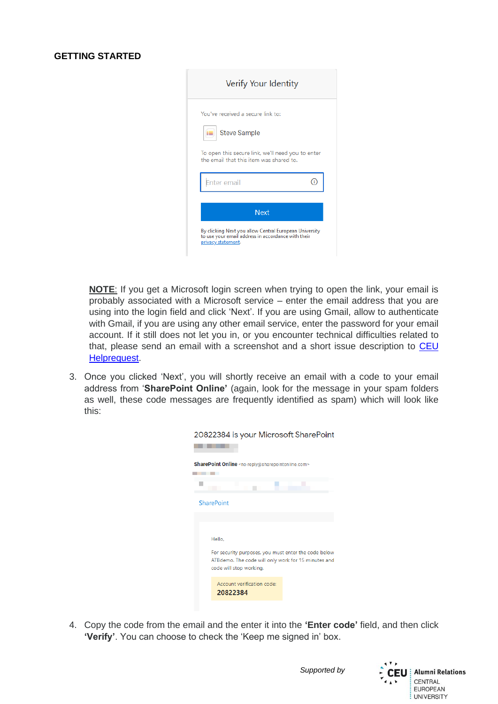| Verify Your Identity                                                                                                               |  |
|------------------------------------------------------------------------------------------------------------------------------------|--|
| You've received a secure link to:                                                                                                  |  |
| <b>Steve Sample</b>                                                                                                                |  |
| To open this secure link, we'll need you to enter<br>the email that this item was shared to.                                       |  |
| <b>ter</b> email                                                                                                                   |  |
| <b>Next</b>                                                                                                                        |  |
| By clicking Next you allow Central European University<br>to use your email address in accordance with their<br>privacy statement. |  |

**NOTE**: If you get a Microsoft login screen when trying to open the link, your email is probably associated with a Microsoft service – enter the email address that you are using into the login field and click 'Next'. If you are using Gmail, allow to authenticate with Gmail, if you are using any other email service, enter the password for your email account. If it still does not let you in, or you encounter technical difficulties related to that, please send an email with a screenshot and a short issue description to [CEU](mailto:helprequest@ceu.edu)  [Helprequest.](mailto:helprequest@ceu.edu)

3. Once you clicked 'Next', you will shortly receive an email with a code to your email address from '**SharePoint Online'** (again, look for the message in your spam folders as well, these code messages are frequently identified as spam) which will look like this:

| SharePoint Online <no-reply@sharepointonline.com></no-reply@sharepointonline.com>                                                      |  |  |  |  |  |  |  |  |  |
|----------------------------------------------------------------------------------------------------------------------------------------|--|--|--|--|--|--|--|--|--|
|                                                                                                                                        |  |  |  |  |  |  |  |  |  |
|                                                                                                                                        |  |  |  |  |  |  |  |  |  |
| <b>SharePoint</b>                                                                                                                      |  |  |  |  |  |  |  |  |  |
|                                                                                                                                        |  |  |  |  |  |  |  |  |  |
|                                                                                                                                        |  |  |  |  |  |  |  |  |  |
| Hello.                                                                                                                                 |  |  |  |  |  |  |  |  |  |
| For security purposes, you must enter the code below<br>ATBdemo. The code will only work for 15 minutes and<br>code will stop working. |  |  |  |  |  |  |  |  |  |
| Account verification code:<br>20822384                                                                                                 |  |  |  |  |  |  |  |  |  |

20822384 is your Microsoft SharePoint

4. Copy the code from the email and the enter it into the **'Enter code'** field, and then click **'Verify'**. You can choose to check the 'Keep me signed in' box.

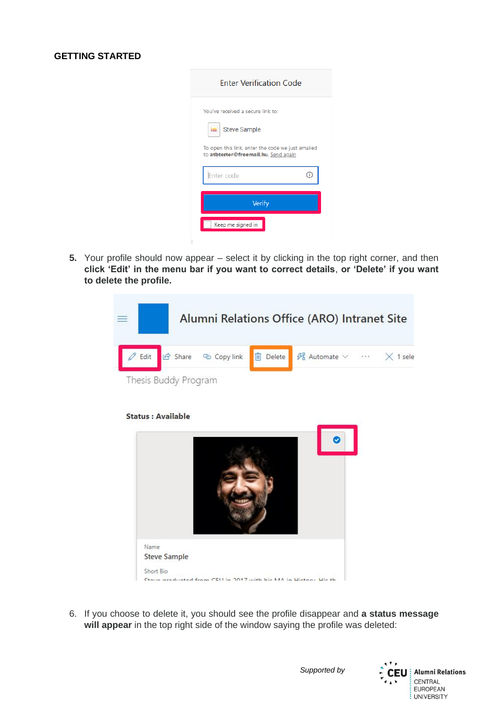| <b>Enter Verification Code</b>                                                            |   |
|-------------------------------------------------------------------------------------------|---|
| You've received a secure link to:                                                         |   |
| <b>Steve Sample</b>                                                                       |   |
| To open this link, enter the code we just emailed<br>to atbtester@freemail.hu. Send again |   |
| Enter code                                                                                | T |
| Verify<br>Keep me signed in                                                               |   |
|                                                                                           |   |

**5.** Your profile should now appear – select it by clicking in the top right corner, and then **click 'Edit' in the menu bar if you want to correct details**, **or 'Delete' if you want to delete the profile.**



#### **Status : Available**



6. If you choose to delete it, you should see the profile disappear and **a status message will appear** in the top right side of the window saying the profile was deleted:

*Supported by*

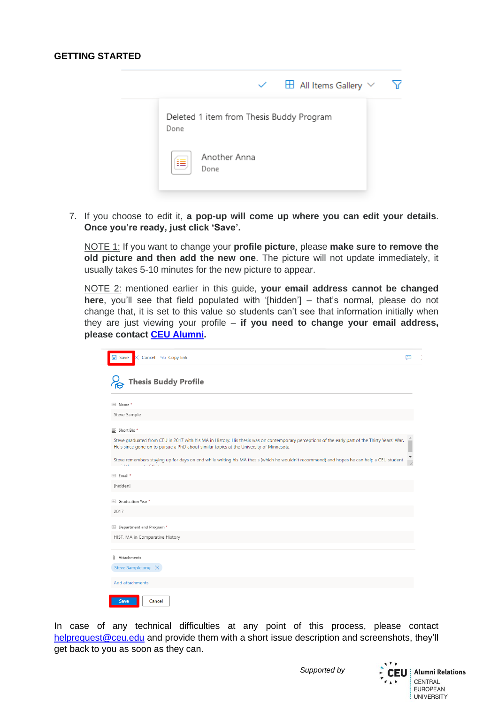

7. If you choose to edit it, **a pop-up will come up where you can edit your details**. **Once you're ready, just click 'Save'.**

NOTE 1: If you want to change your **profile picture**, please **make sure to remove the old picture and then add the new one**. The picture will not update immediately, it usually takes 5-10 minutes for the new picture to appear.

NOTE 2: mentioned earlier in this guide, **your email address cannot be changed here**, you'll see that field populated with '[hidden'] – that's normal, please do not change that, it is set to this value so students can't see that information initially when they are just viewing your profile – **if you need to change your email address, please contact [CEU Alumni.](mailto:alumni@ceu.edu)**

| <b>□</b> Save<br>X Cancel © Copy link                                                                                                                                                                                                      | ⊡ |
|--------------------------------------------------------------------------------------------------------------------------------------------------------------------------------------------------------------------------------------------|---|
| <b>Thesis Buddy Profile</b>                                                                                                                                                                                                                |   |
| Abel Name *                                                                                                                                                                                                                                |   |
| Steve Sample                                                                                                                                                                                                                               |   |
| $\equiv$ Short Bio*                                                                                                                                                                                                                        |   |
| Steve graduated from CEU in 2017 with his MA in History. His thesis was on contemporary perceptions of the early part of the Thirty Years' War.<br>He's since gone on to pursue a PhD about similar topics at the University of Minnesota. |   |
| Steve remembers staying up for days on end while writing his MA thesis (which he wouldn't recommend) and hopes he can help a CEU student                                                                                                   |   |
| Abe Email*                                                                                                                                                                                                                                 |   |
| [hidden]                                                                                                                                                                                                                                   |   |
| Max Graduation Year *                                                                                                                                                                                                                      |   |
| 2017                                                                                                                                                                                                                                       |   |
| Department and Program *                                                                                                                                                                                                                   |   |
| HIST, MA in Comparative History                                                                                                                                                                                                            |   |
| Û<br>Attachments                                                                                                                                                                                                                           |   |
| Steve Sample.png X                                                                                                                                                                                                                         |   |
| Add attachments                                                                                                                                                                                                                            |   |
| <b>Save</b><br>Cancel                                                                                                                                                                                                                      |   |

In case of any technical difficulties at any point of this process, please contact [helprequest@ceu.edu](mailto:helprequest@ceu.edu) and provide them with a short issue description and screenshots, they'll get back to you as soon as they can.

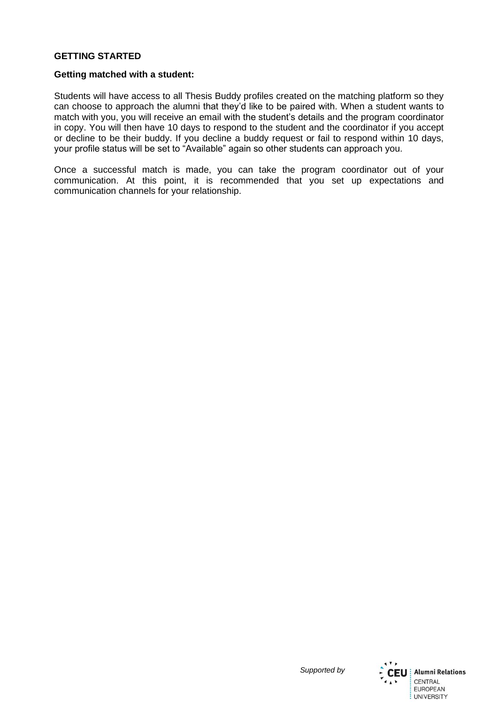#### **Getting matched with a student:**

Students will have access to all Thesis Buddy profiles created on the matching platform so they can choose to approach the alumni that they'd like to be paired with. When a student wants to match with you, you will receive an email with the student's details and the program coordinator in copy. You will then have 10 days to respond to the student and the coordinator if you accept or decline to be their buddy. If you decline a buddy request or fail to respond within 10 days, your profile status will be set to "Available" again so other students can approach you.

Once a successful match is made, you can take the program coordinator out of your communication. At this point, it is recommended that you set up expectations and communication channels for your relationship.



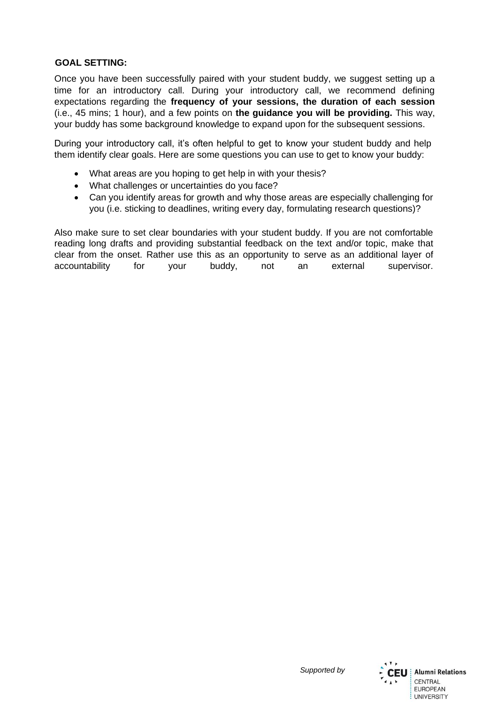## **GOAL SETTING:**

Once you have been successfully paired with your student buddy, we suggest setting up a time for an introductory call. During your introductory call, we recommend defining expectations regarding the **frequency of your sessions, the duration of each session**  (i.e., 45 mins; 1 hour), and a few points on **the guidance you will be providing.** This way, your buddy has some background knowledge to expand upon for the subsequent sessions.

During your introductory call, it's often helpful to get to know your student buddy and help them identify clear goals. Here are some questions you can use to get to know your buddy:

- What areas are you hoping to get help in with your thesis?
- What challenges or uncertainties do you face?
- Can you identify areas for growth and why those areas are especially challenging for you (i.e. sticking to deadlines, writing every day, formulating research questions)?

Also make sure to set clear boundaries with your student buddy. If you are not comfortable reading long drafts and providing substantial feedback on the text and/or topic, make that clear from the onset. Rather use this as an opportunity to serve as an additional layer of accountability for your buddy, not an external supervisor.

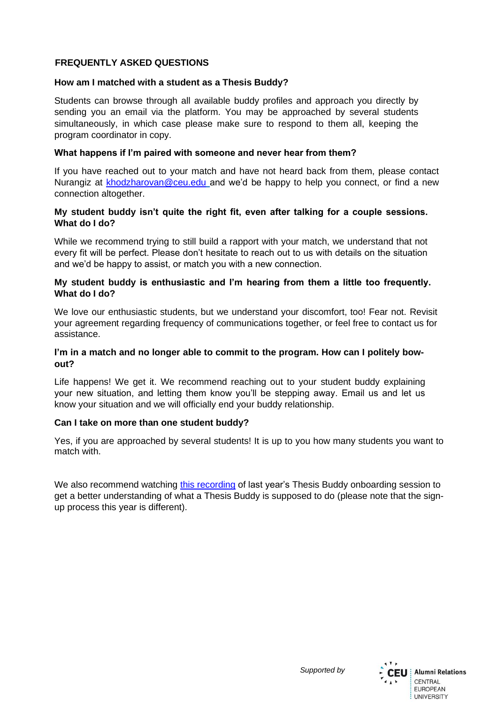## **FREQUENTLY ASKED QUESTIONS**

#### **How am I matched with a student as a Thesis Buddy?**

Students can browse through all available buddy profiles and approach you directly by sending you an email via the platform. You may be approached by several students simultaneously, in which case please make sure to respond to them all, keeping the program coordinator in copy.

#### **What happens if I'm paired with someone and never hear from them?**

If you have reached out to your match and have not heard back from them, please contact Nurangiz at [khodzharovan@ceu.edu](mailto:khodzharovan@ceu.edu) and we'd be happy to help you connect, or find a new connection altogether.

## **My student buddy isn't quite the right fit, even after talking for a couple sessions. What do I do?**

While we recommend trying to still build a rapport with your match, we understand that not every fit will be perfect. Please don't hesitate to reach out to us with details on the situation and we'd be happy to assist, or match you with a new connection.

#### **My student buddy is enthusiastic and I'm hearing from them a little too frequently. What do I do?**

We love our enthusiastic students, but we understand your discomfort, too! Fear not. Revisit your agreement regarding frequency of communications together, or feel free to contact us for assistance.

## **I'm in a match and no longer able to commit to the program. How can I politely bowout?**

Life happens! We get it. We recommend reaching out to your student buddy explaining your new situation, and letting them know you'll be stepping away. Email us and let us know your situation and we will officially end your buddy relationship.

#### **Can I take on more than one student buddy?**

Yes, if you are approached by several students! It is up to you how many students you want to match with.

We also recommend watching [this recording](https://ceu.cloud.panopto.eu/Panopto/Pages/Viewer.aspx?id=7f8b347c-a0c3-4931-96d5-ad0400f9c7b5) of last year's Thesis Buddy onboarding session to get a better understanding of what a Thesis Buddy is supposed to do (please note that the signup process this year is different).